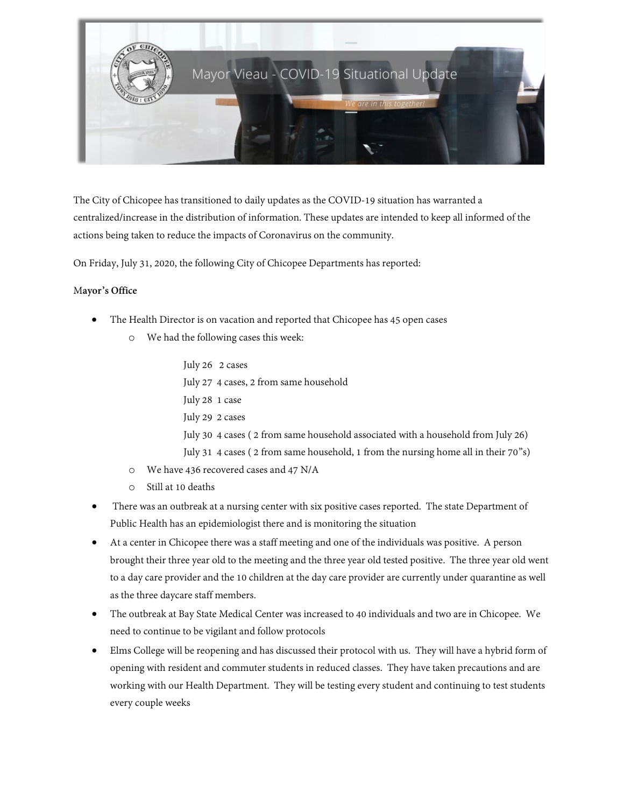

The City of Chicopee has transitioned to daily updates as the COVID-19 situation has warranted a centralized/increase in the distribution of information. These updates are intended to keep all informed of the actions being taken to reduce the impacts of Coronavirus on the community.

On Friday, July 31, 2020, the following City of Chicopee Departments has reported:

## M**ayor's Office**

- The Health Director is on vacation and reported that Chicopee has 45 open cases
	- o We had the following cases this week:

July 26 2 cases July 27 4 cases, 2 from same household July 28 1 case July 29 2 cases July 30 4 cases ( 2 from same household associated with a household from July 26) July 31 4 cases ( 2 from same household, 1 from the nursing home all in their 70"s)

- o We have 436 recovered cases and 47 N/A
- o Still at 10 deaths
- There was an outbreak at a nursing center with six positive cases reported. The state Department of Public Health has an epidemiologist there and is monitoring the situation
- At a center in Chicopee there was a staff meeting and one of the individuals was positive. A person brought their three year old to the meeting and the three year old tested positive. The three year old went to a day care provider and the 10 children at the day care provider are currently under quarantine as well as the three daycare staff members.
- The outbreak at Bay State Medical Center was increased to 40 individuals and two are in Chicopee. We need to continue to be vigilant and follow protocols
- Elms College will be reopening and has discussed their protocol with us. They will have a hybrid form of opening with resident and commuter students in reduced classes. They have taken precautions and are working with our Health Department. They will be testing every student and continuing to test students every couple weeks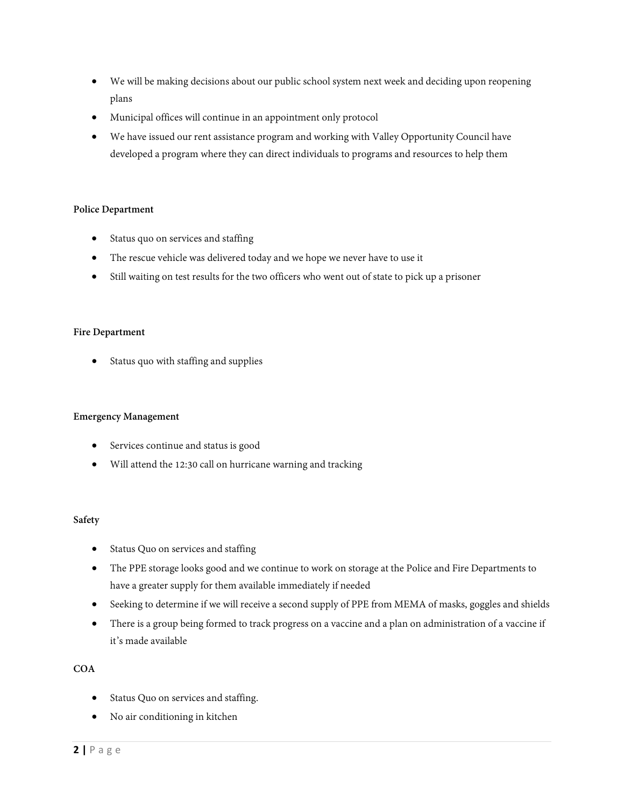- We will be making decisions about our public school system next week and deciding upon reopening plans
- Municipal offices will continue in an appointment only protocol
- We have issued our rent assistance program and working with Valley Opportunity Council have developed a program where they can direct individuals to programs and resources to help them

### **Police Department**

- Status quo on services and staffing
- The rescue vehicle was delivered today and we hope we never have to use it
- Still waiting on test results for the two officers who went out of state to pick up a prisoner

### **Fire Department**

• Status quo with staffing and supplies

#### **Emergency Management**

- Services continue and status is good
- Will attend the 12:30 call on hurricane warning and tracking

## **Safety**

- Status Quo on services and staffing
- The PPE storage looks good and we continue to work on storage at the Police and Fire Departments to have a greater supply for them available immediately if needed
- Seeking to determine if we will receive a second supply of PPE from MEMA of masks, goggles and shields
- There is a group being formed to track progress on a vaccine and a plan on administration of a vaccine if it's made available

# **COA**

- Status Quo on services and staffing.
- No air conditioning in kitchen